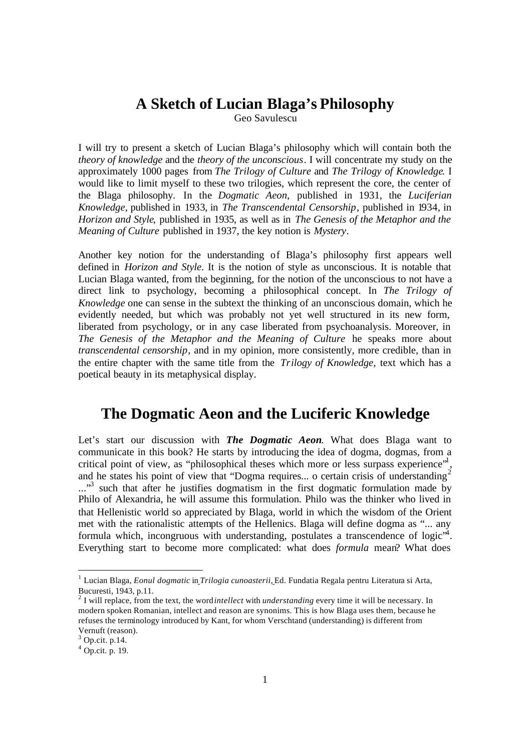## **A Sketch of Lucian Blaga's Philosophy**

Geo Savulescu

I will try to present a sketch of Lucian Blaga's philosophy which will contain both the *theory of knowledge* and the *theory of the unconscious*. I will concentrate my study on the approximately 1000 pages from *The Trilogy of Culture* and *The Trilogy of Knowledge.* I would like to limit myself to these two trilogies, which represent the core, the center of the Blaga philosophy. In the *Dogmatic Aeon*, published in 1931, the *Luciferian Knowledge*, published in 1933, in *The Transcendental Censorship*, published in 1934*,* in *Horizon and Style*, published in 1935, as well as in *The Genesis of the Metaphor and the Meaning of Culture* published in 1937, the key notion is *Mystery.* 

Another key notion for the understanding of Blaga's philosophy first appears well defined in *Horizon and Style*. It is the notion of style as unconscious. It is notable that Lucian Blaga wanted, from the beginning, for the notion of the unconscious to not have a direct link to psychology, becoming a philosophical concept. In *The Trilogy of Knowledge* one can sense in the subtext the thinking of an unconscious domain, which he evidently needed, but which was probably not yet well structured in its new form, liberated from psychology, or in any case liberated from psychoanalysis. Moreover, in *The Genesis of the Metaphor and the Meaning of Culture* he speaks more about *transcendental censorship*, and in my opinion, more consistently, more credible, than in the entire chapter with the same title from the *Trilogy of Knowledge,* text which has a poetical beauty in its metaphysical display.

## **The Dogmatic Aeon and the Luciferic Knowledge**

Let's start our discussion with *The Dogmatic Aeon*. What does Blaga want to communicate in this book? He starts by introducing the idea of dogma, dogmas, from a critical point of view, as "philosophical theses which more or less surpass experience"<sup>1</sup>, and he states his point of view that "Dogma requires... o certain crisis of understanding<sup>2</sup> ..."<sup>3</sup> such that after he justifies dogmatism in the first dogmatic formulation made by Philo of Alexandria, he will assume this formulation. Philo was the thinker who lived in that Hellenistic world so appreciated by Blaga, world in which the wisdom of the Orient met with the rationalistic attempts of the Hellenics. Blaga will define dogma as "... any formula which, incongruous with understanding, postulates a transcendence of logic $\mathbf{A}$ . Everything start to become more complicated: what does *formula* mean? What does

<sup>&</sup>lt;sup>1</sup> Lucian Blaga, *Eonul dogmatic* in *Trilogia cunoasterii*, Ed. Fundatia Regala pentru Literatura si Arta, Bucuresti, 1943, p.11.

<sup>2</sup> I will replace, from the text, the word *intellect* with *understanding* every time it will be necessary. In modern spoken Romanian, intellect and reason are synonims. This is how Blaga uses them, because he refuses the terminology introduced by Kant, for whom Verschtand (understanding) is different from Vernuft (reason).

 $3$  Op.cit. p.14.

 $4$  Op.cit. p. 19.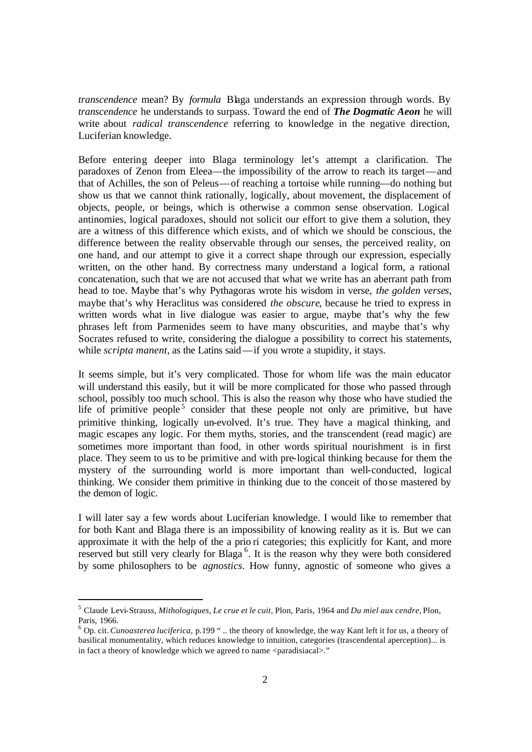*transcendence* mean? By *formula* Blaga understands an expression through words. By *transcendence* he understands to surpass. Toward the end of *The Dogmatic Aeon* he will write about *radical transcendence* referring to knowledge in the negative direction, Luciferian knowledge.

Before entering deeper into Blaga terminology let's attempt a clarification. The paradoxes of Zenon from Eleea—the impossibility of the arrow to reach its target—and that of Achilles, the son of Peleus—of reaching a tortoise while running—do nothing but show us that we cannot think rationally, logically, about movement, the displacement of objects, people, or beings, which is otherwise a common sense observation. Logical antinomies, logical paradoxes, should not solicit our effort to give them a solution, they are a witness of this difference which exists, and of which we should be conscious, the difference between the reality observable through our senses, the perceived reality, on one hand, and our attempt to give it a correct shape through our expression, especially written, on the other hand. By correctness many understand a logical form, a rational concatenation, such that we are not accused that what we write has an aberrant path from head to toe. Maybe that's why Pythagoras wrote his wisdom in verse, *the golden verses*, maybe that's why Heraclitus was considered *the obscure*, because he tried to express in written words what in live dialogue was easier to argue, maybe that's why the few phrases left from Parmenides seem to have many obscurities, and maybe that's why Socrates refused to write, considering the dialogue a possibility to correct his statements, while *scripta manent,* as the Latins said—if you wrote a stupidity, it stays.

It seems simple, but it's very complicated. Those for whom life was the main educator will understand this easily, but it will be more complicated for those who passed through school, possibly too much school. This is also the reason why those who have studied the life of primitive people<sup>5</sup> consider that these people not only are primitive, but have primitive thinking, logically un-evolved. It's true. They have a magical thinking, and magic escapes any logic. For them myths, stories, and the transcendent (read magic) are sometimes more important than food, in other words spiritual nourishment is in first place. They seem to us to be primitive and with pre-logical thinking because for them the mystery of the surrounding world is more important than well-conducted, logical thinking. We consider them primitive in thinking due to the conceit of those mastered by the demon of logic.

I will later say a few words about Luciferian knowledge. I would like to remember that for both Kant and Blaga there is an impossibility of knowing reality as it is. But we can approximate it with the help of the a prio ri categories; this explicitly for Kant, and more reserved but still very clearly for Blaga<sup>6</sup>. It is the reason why they were both considered by some philosophers to be *agnostics*. How funny, agnostic of someone who gives a

<sup>5</sup> Claude Levi-Strauss, *Mithologiques, Le crue et le cuit,* Plon, Paris, 1964 and *Du miel aux cendre,* Plon, Paris, 1966.

<sup>6</sup> Op. cit. *Cunoasterea luciferica,* p.199 " .. the theory of knowledge, the way Kant left it for us, a theory of basilical monumentality, which reduces knowledge to intuition, categories (trascendental aperception)... is in fact a theory of knowledge which we agreed to name <paradisiacal>."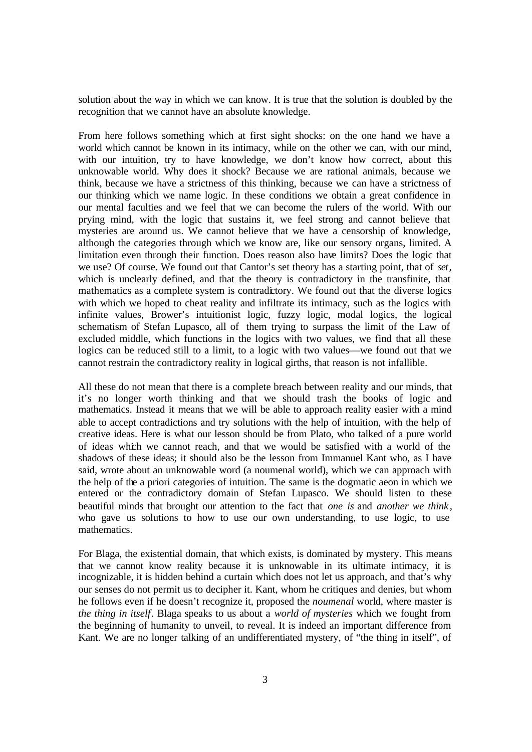solution about the way in which we can know. It is true that the solution is doubled by the recognition that we cannot have an absolute knowledge.

From here follows something which at first sight shocks: on the one hand we have a world which cannot be known in its intimacy, while on the other we can, with our mind, with our intuition, try to have knowledge, we don't know how correct, about this unknowable world. Why does it shock? Because we are rational animals, because we think, because we have a strictness of this thinking, because we can have a strictness of our thinking which we name logic. In these conditions we obtain a great confidence in our mental faculties and we feel that we can become the rulers of the world. With our prying mind, with the logic that sustains it, we feel strong and cannot believe that mysteries are around us. We cannot believe that we have a censorship of knowledge, although the categories through which we know are, like our sensory organs, limited. A limitation even through their function. Does reason also have limits? Does the logic that we use? Of course. We found out that Cantor's set theory has a starting point, that of *set*, which is unclearly defined, and that the theory is contradictory in the transfinite, that mathematics as a complete system is contradictory. We found out that the diverse logics with which we hoped to cheat reality and infiltrate its intimacy, such as the logics with infinite values, Brower's intuitionist logic, fuzzy logic, modal logics, the logical schematism of Stefan Lupasco, all of them trying to surpass the limit of the Law of excluded middle, which functions in the logics with two values, we find that all these logics can be reduced still to a limit, to a logic with two values—we found out that we cannot restrain the contradictory reality in logical girths, that reason is not infallible.

All these do not mean that there is a complete breach between reality and our minds, that it's no longer worth thinking and that we should trash the books of logic and mathematics. Instead it means that we will be able to approach reality easier with a mind able to accept contradictions and try solutions with the help of intuition, with the help of creative ideas. Here is what our lesson should be from Plato, who talked of a pure world of ideas which we cannot reach, and that we would be satisfied with a world of the shadows of these ideas; it should also be the lesson from Immanuel Kant who, as I have said, wrote about an unknowable word (a noumenal world), which we can approach with the help of the a priori categories of intuition. The same is the dogmatic aeon in which we entered or the contradictory domain of Stefan Lupasco. We should listen to these beautiful minds that brought our attention to the fact that *one is* and *another we think* , who gave us solutions to how to use our own understanding, to use logic, to use mathematics.

For Blaga, the existential domain, that which exists, is dominated by mystery. This means that we cannot know reality because it is unknowable in its ultimate intimacy, it is incognizable, it is hidden behind a curtain which does not let us approach, and that's why our senses do not permit us to decipher it. Kant, whom he critiques and denies, but whom he follows even if he doesn't recognize it, proposed the *noumenal* world, where master is *the thing in itself*. Blaga speaks to us about a *world of mysteries* which we fought from the beginning of humanity to unveil, to reveal. It is indeed an important difference from Kant. We are no longer talking of an undifferentiated mystery, of "the thing in itself", of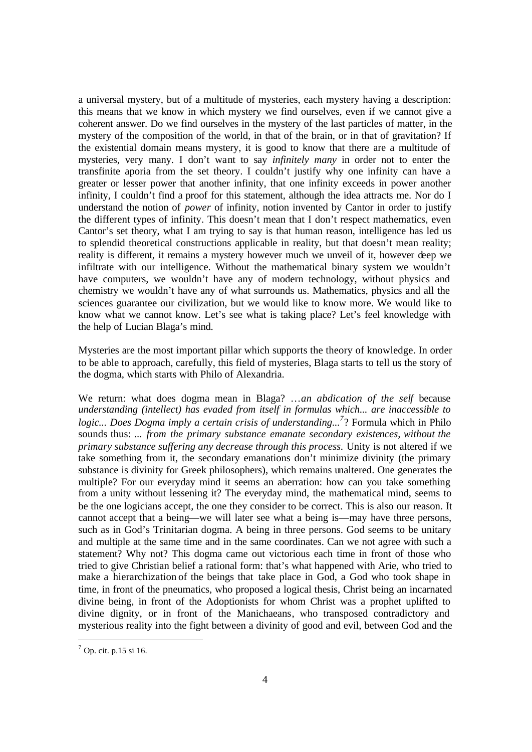a universal mystery, but of a multitude of mysteries, each mystery having a description: this means that we know in which mystery we find ourselves, even if we cannot give a coherent answer. Do we find ourselves in the mystery of the last particles of matter, in the mystery of the composition of the world, in that of the brain, or in that of gravitation? If the existential domain means mystery, it is good to know that there are a multitude of mysteries, very many. I don't want to say *infinitely many* in order not to enter the transfinite aporia from the set theory. I couldn't justify why one infinity can have a greater or lesser power that another infinity, that one infinity exceeds in power another infinity, I couldn't find a proof for this statement, although the idea attracts me. Nor do I understand the notion of *power* of infinity, notion invented by Cantor in order to justify the different types of infinity. This doesn't mean that I don't respect mathematics, even Cantor's set theory, what I am trying to say is that human reason, intelligence has led us to splendid theoretical constructions applicable in reality, but that doesn't mean reality; reality is different, it remains a mystery however much we unveil of it, however deep we infiltrate with our intelligence. Without the mathematical binary system we wouldn't have computers, we wouldn't have any of modern technology, without physics and chemistry we wouldn't have any of what surrounds us. Mathematics, physics and all the sciences guarantee our civilization, but we would like to know more. We would like to know what we cannot know. Let's see what is taking place? Let's feel knowledge with the help of Lucian Blaga's mind.

Mysteries are the most important pillar which supports the theory of knowledge. In order to be able to approach, carefully, this field of mysteries, Blaga starts to tell us the story of the dogma, which starts with Philo of Alexandria.

We return: what does dogma mean in Blaga? …*an abdication of the self* because *understanding (intellect) has evaded from itself in formulas which... are inaccessible to logic... Does Dogma imply a certain crisis of understanding...<sup>7</sup>* ? Formula which in Philo sounds thus: ... *from the primary substance emanate secondary existences, without the primary substance suffering any decrease through this process.* Unity is not altered if we take something from it, the secondary emanations don't minimize divinity (the primary substance is divinity for Greek philosophers), which remains unaltered. One generates the multiple? For our everyday mind it seems an aberration: how can you take something from a unity without lessening it? The everyday mind, the mathematical mind, seems to be the one logicians accept, the one they consider to be correct. This is also our reason. It cannot accept that a being—we will later see what a being is—may have three persons, such as in God's Trinitarian dogma. A being in three persons. God seems to be unitary and multiple at the same time and in the same coordinates. Can we not agree with such a statement? Why not? This dogma came out victorious each time in front of those who tried to give Christian belief a rational form: that's what happened with Arie, who tried to make a hierarchization of the beings that take place in God, a God who took shape in time, in front of the pneumatics, who proposed a logical thesis, Christ being an incarnated divine being, in front of the Adoptionists for whom Christ was a prophet uplifted to divine dignity, or in front of the Manichaeans, who transposed contradictory and mysterious reality into the fight between a divinity of good and evil, between God and the

l

 $<sup>7</sup>$  Op. cit. p.15 si 16.</sup>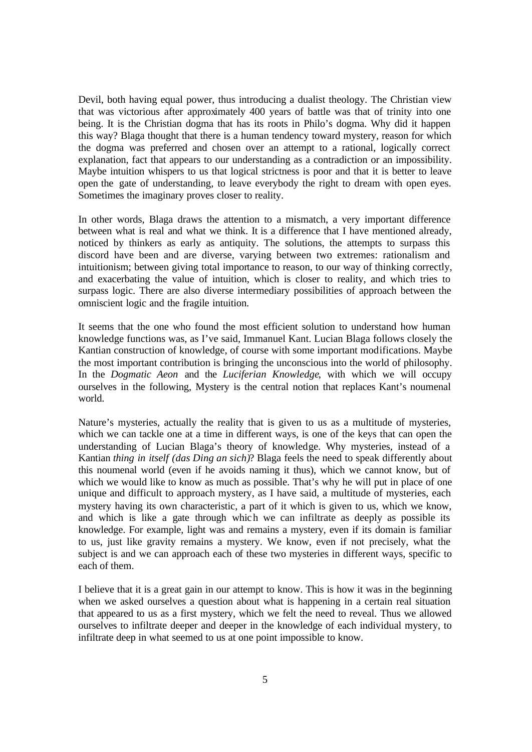Devil, both having equal power, thus introducing a dualist theology. The Christian view that was victorious after approximately 400 years of battle was that of trinity into one being. It is the Christian dogma that has its roots in Philo's dogma. Why did it happen this way? Blaga thought that there is a human tendency toward mystery, reason for which the dogma was preferred and chosen over an attempt to a rational, logically correct explanation, fact that appears to our understanding as a contradiction or an impossibility. Maybe intuition whispers to us that logical strictness is poor and that it is better to leave open the gate of understanding, to leave everybody the right to dream with open eyes. Sometimes the imaginary proves closer to reality.

In other words, Blaga draws the attention to a mismatch, a very important difference between what is real and what we think. It is a difference that I have mentioned already, noticed by thinkers as early as antiquity. The solutions, the attempts to surpass this discord have been and are diverse, varying between two extremes: rationalism and intuitionism; between giving total importance to reason, to our way of thinking correctly, and exacerbating the value of intuition, which is closer to reality, and which tries to surpass logic. There are also diverse intermediary possibilities of approach between the omniscient logic and the fragile intuition.

It seems that the one who found the most efficient solution to understand how human knowledge functions was, as I've said, Immanuel Kant. Lucian Blaga follows closely the Kantian construction of knowledge, of course with some important modifications. Maybe the most important contribution is bringing the unconscious into the world of philosophy. In the *Dogmatic Aeon* and the *Luciferian Knowledge*, with which we will occupy ourselves in the following, Mystery is the central notion that replaces Kant's noumenal world.

Nature's mysteries, actually the reality that is given to us as a multitude of mysteries, which we can tackle one at a time in different ways, is one of the keys that can open the understanding of Lucian Blaga's theory of knowledge. Why mysteries, instead of a Kantian *thing in itself (das Ding an sich)*? Blaga feels the need to speak differently about this noumenal world (even if he avoids naming it thus), which we cannot know, but of which we would like to know as much as possible. That's why he will put in place of one unique and difficult to approach mystery, as I have said, a multitude of mysteries, each mystery having its own characteristic, a part of it which is given to us, which we know, and which is like a gate through which we can infiltrate as deeply as possible its knowledge. For example, light was and remains a mystery, even if its domain is familiar to us, just like gravity remains a mystery. We know, even if not precisely, what the subject is and we can approach each of these two mysteries in different ways, specific to each of them.

I believe that it is a great gain in our attempt to know. This is how it was in the beginning when we asked ourselves a question about what is happening in a certain real situation that appeared to us as a first mystery, which we felt the need to reveal. Thus we allowed ourselves to infiltrate deeper and deeper in the knowledge of each individual mystery, to infiltrate deep in what seemed to us at one point impossible to know.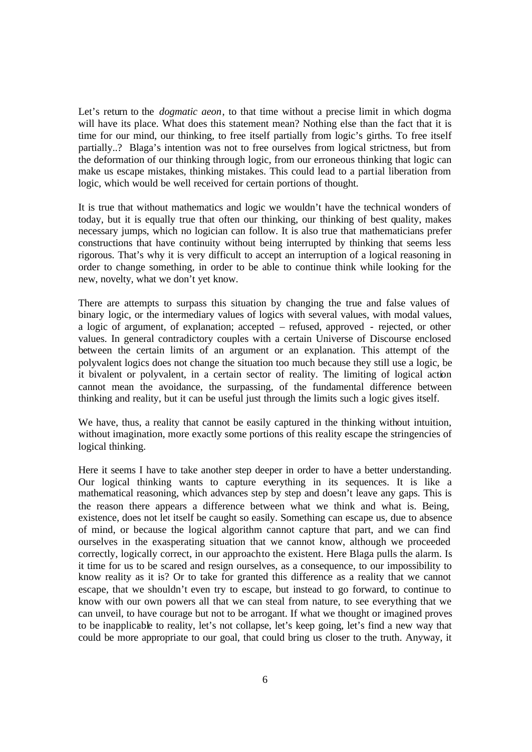Let's return to the *dogmatic aeon*, to that time without a precise limit in which dogma will have its place. What does this statement mean? Nothing else than the fact that it is time for our mind, our thinking, to free itself partially from logic's girths. To free itself partially..? Blaga's intention was not to free ourselves from logical strictness, but from the deformation of our thinking through logic, from our erroneous thinking that logic can make us escape mistakes, thinking mistakes. This could lead to a partial liberation from logic, which would be well received for certain portions of thought.

It is true that without mathematics and logic we wouldn't have the technical wonders of today, but it is equally true that often our thinking, our thinking of best quality, makes necessary jumps, which no logician can follow. It is also true that mathematicians prefer constructions that have continuity without being interrupted by thinking that seems less rigorous. That's why it is very difficult to accept an interruption of a logical reasoning in order to change something, in order to be able to continue think while looking for the new, novelty, what we don't yet know.

There are attempts to surpass this situation by changing the true and false values of binary logic, or the intermediary values of logics with several values, with modal values, a logic of argument, of explanation; accepted – refused, approved - rejected, or other values. In general contradictory couples with a certain Universe of Discourse enclosed between the certain limits of an argument or an explanation. This attempt of the polyvalent logics does not change the situation too much because they still use a logic, be it bivalent or polyvalent, in a certain sector of reality. The limiting of logical action cannot mean the avoidance, the surpassing, of the fundamental difference between thinking and reality, but it can be useful just through the limits such a logic gives itself.

We have, thus, a reality that cannot be easily captured in the thinking without intuition, without imagination, more exactly some portions of this reality escape the stringencies of logical thinking.

Here it seems I have to take another step deeper in order to have a better understanding. Our logical thinking wants to capture everything in its sequences. It is like a mathematical reasoning, which advances step by step and doesn't leave any gaps. This is the reason there appears a difference between what we think and what is. Being, existence, does not let itself be caught so easily. Something can escape us, due to absence of mind, or because the logical algorithm cannot capture that part, and we can find ourselves in the exasperating situation that we cannot know, although we proceeded correctly, logically correct, in our approach to the existent. Here Blaga pulls the alarm. Is it time for us to be scared and resign ourselves, as a consequence, to our impossibility to know reality as it is? Or to take for granted this difference as a reality that we cannot escape, that we shouldn't even try to escape, but instead to go forward, to continue to know with our own powers all that we can steal from nature, to see everything that we can unveil, to have courage but not to be arrogant. If what we thought or imagined proves to be inapplicable to reality, let's not collapse, let's keep going, let's find a new way that could be more appropriate to our goal, that could bring us closer to the truth. Anyway, it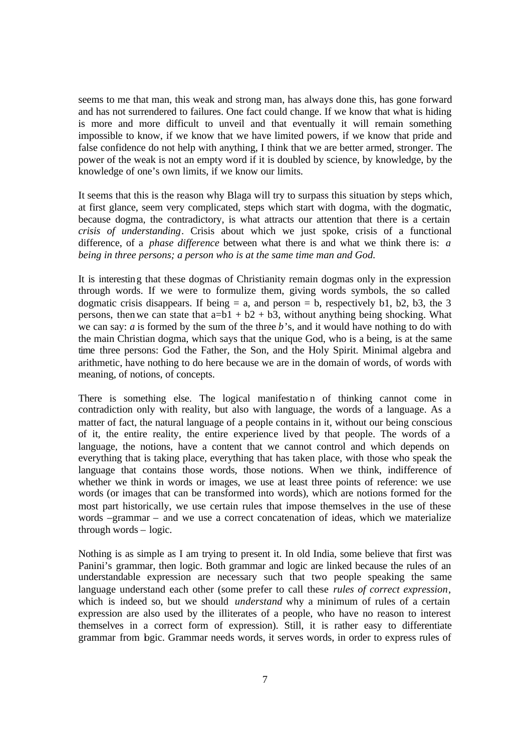seems to me that man, this weak and strong man, has always done this, has gone forward and has not surrendered to failures. One fact could change. If we know that what is hiding is more and more difficult to unveil and that eventually it will remain something impossible to know, if we know that we have limited powers, if we know that pride and false confidence do not help with anything, I think that we are better armed, stronger. The power of the weak is not an empty word if it is doubled by science, by knowledge, by the knowledge of one's own limits, if we know our limits.

It seems that this is the reason why Blaga will try to surpass this situation by steps which, at first glance, seem very complicated, steps which start with dogma, with the dogmatic, because dogma, the contradictory, is what attracts our attention that there is a certain *crisis of understanding*. Crisis about which we just spoke, crisis of a functional difference, of a *phase difference* between what there is and what we think there is: *a being in three persons; a person who is at the same time man and God.* 

It is interesting that these dogmas of Christianity remain dogmas only in the expression through words. If we were to formulize them, giving words symbols, the so called dogmatic crisis disappears. If being  $= a$ , and person  $= b$ , respectively b1, b2, b3, the 3 persons, then we can state that  $a=b1 + b2 + b3$ , without anything being shocking. What we can say: *a* is formed by the sum of the three *b*'s, and it would have nothing to do with the main Christian dogma, which says that the unique God, who is a being, is at the same time three persons: God the Father, the Son, and the Holy Spirit. Minimal algebra and arithmetic, have nothing to do here because we are in the domain of words, of words with meaning, of notions, of concepts.

There is something else. The logical manifestatio n of thinking cannot come in contradiction only with reality, but also with language, the words of a language. As a matter of fact, the natural language of a people contains in it, without our being conscious of it, the entire reality, the entire experience lived by that people. The words of a language, the notions, have a content that we cannot control and which depends on everything that is taking place, everything that has taken place, with those who speak the language that contains those words, those notions. When we think, indifference of whether we think in words or images, we use at least three points of reference: we use words (or images that can be transformed into words), which are notions formed for the most part historically, we use certain rules that impose themselves in the use of these words –grammar – and we use a correct concatenation of ideas, which we materialize through words – logic.

Nothing is as simple as I am trying to present it. In old India, some believe that first was Panini's grammar, then logic. Both grammar and logic are linked because the rules of an understandable expression are necessary such that two people speaking the same language understand each other (some prefer to call these *rules of correct expression*, which is indeed so, but we should *understand* why a minimum of rules of a certain expression are also used by the illiterates of a people, who have no reason to interest themselves in a correct form of expression). Still, it is rather easy to differentiate grammar from logic. Grammar needs words, it serves words, in order to express rules of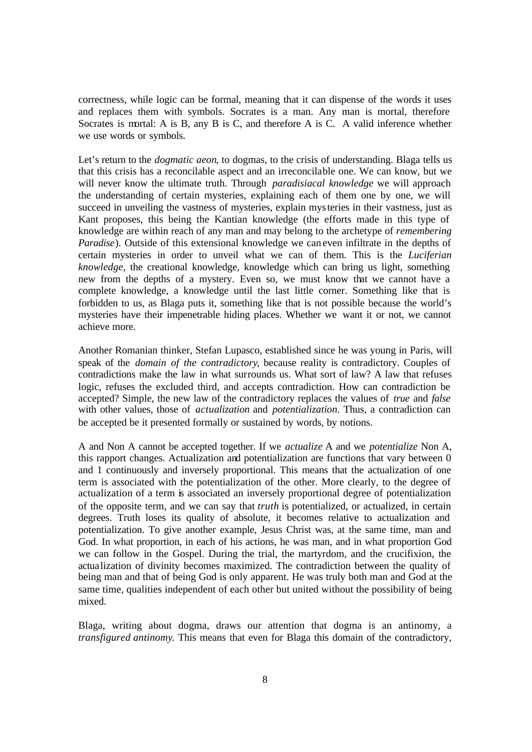correctness, while logic can be formal, meaning that it can dispense of the words it uses and replaces them with symbols. Socrates is a man. Any man is mortal, therefore Socrates is mortal: A is B, any B is C, and therefore A is C. A valid inference whether we use words or symbols.

Let's return to the *dogmatic aeon*, to dogmas, to the crisis of understanding. Blaga tells us that this crisis has a reconcilable aspect and an irreconcilable one. We can know, but we will never know the ultimate truth. Through *paradisiacal knowledge* we will approach the understanding of certain mysteries, explaining each of them one by one, we will succeed in unveiling the vastness of mysteries, explain mysteries in their vastness, just as Kant proposes, this being the Kantian knowledge (the efforts made in this type of knowledge are within reach of any man and may belong to the archetype of *remembering Paradise*). Outside of this extensional knowledge we can even infiltrate in the depths of certain mysteries in order to unveil what we can of them. This is the *Luciferian knowledge*, the creational knowledge, knowledge which can bring us light, something new from the depths of a mystery. Even so, we must know that we cannot have a complete knowledge, a knowledge until the last little corner. Something like that is forbidden to us, as Blaga puts it, something like that is not possible because the world's mysteries have their impenetrable hiding places. Whether we want it or not, we cannot achieve more.

Another Romanian thinker, Stefan Lupasco, established since he was young in Paris, will speak of the *domain of the contradictory*, because reality is contradictory. Couples of contradictions make the law in what surrounds us. What sort of law? A law that refuses logic, refuses the excluded third, and accepts contradiction. How can contradiction be accepted? Simple, the new law of the contradictory replaces the values of *true* and *false* with other values, those of *actualization* and *potentialization*. Thus, a contradiction can be accepted be it presented formally or sustained by words, by notions.

A and Non A cannot be accepted together. If we *actualize* A and we *potentialize* Non A, this rapport changes. Actualization and potentialization are functions that vary between 0 and 1 continuously and inversely proportional. This means that the actualization of one term is associated with the potentialization of the other. More clearly, to the degree of actualization of a term is associated an inversely proportional degree of potentialization of the opposite term, and we can say that *truth* is potentialized, or actualized, in certain degrees. Truth loses its quality of absolute, it becomes relative to actualization and potentialization. To give another example, Jesus Christ was, at the same time, man and God. In what proportion, in each of his actions, he was man, and in what proportion God we can follow in the Gospel. During the trial, the martyrdom, and the crucifixion, the actualization of divinity becomes maximized. The contradiction between the quality of being man and that of being God is only apparent. He was truly both man and God at the same time, qualities independent of each other but united without the possibility of being mixed.

Blaga, writing about dogma, draws our attention that dogma is an antinomy, a *transfigured antinomy*. This means that even for Blaga this domain of the contradictory,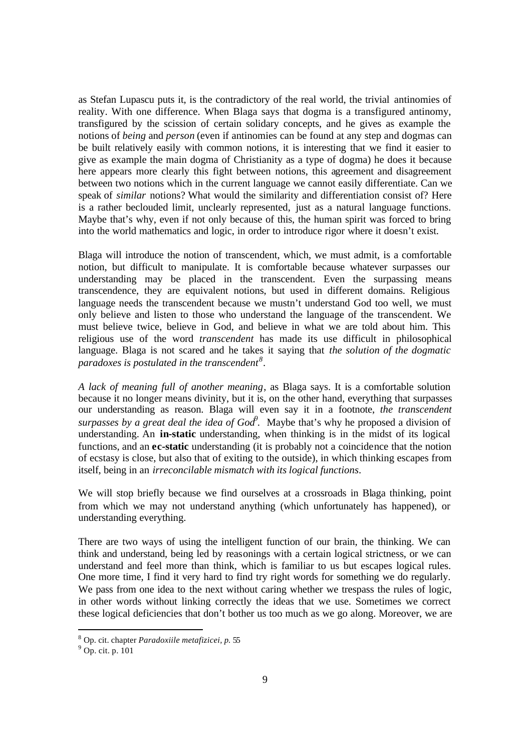as Stefan Lupascu puts it, is the contradictory of the real world, the trivial antinomies of reality. With one difference. When Blaga says that dogma is a transfigured antinomy, transfigured by the scission of certain solidary concepts, and he gives as example the notions of *being* and *person* (even if antinomies can be found at any step and dogmas can be built relatively easily with common notions, it is interesting that we find it easier to give as example the main dogma of Christianity as a type of dogma) he does it because here appears more clearly this fight between notions, this agreement and disagreement between two notions which in the current language we cannot easily differentiate. Can we speak of *similar* notions? What would the similarity and differentiation consist of? Here is a rather beclouded limit, unclearly represented, just as a natural language functions. Maybe that's why, even if not only because of this, the human spirit was forced to bring into the world mathematics and logic, in order to introduce rigor where it doesn't exist.

Blaga will introduce the notion of transcendent, which, we must admit, is a comfortable notion, but difficult to manipulate. It is comfortable because whatever surpasses our understanding may be placed in the transcendent. Even the surpassing means transcendence, they are equivalent notions, but used in different domains. Religious language needs the transcendent because we mustn't understand God too well, we must only believe and listen to those who understand the language of the transcendent. We must believe twice, believe in God, and believe in what we are told about him. This religious use of the word *transcendent* has made its use difficult in philosophical language. Blaga is not scared and he takes it saying that *the solution of the dogmatic paradoxes is postulated in the transcendent<sup>8</sup>* .

*A lack of meaning full of another meaning*, as Blaga says. It is a comfortable solution because it no longer means divinity, but it is, on the other hand, everything that surpasses our understanding as reason. Blaga will even say it in a footnote, *the transcendent surpasses by a great deal the idea of God*<sup>9</sup>. Maybe that's why he proposed a division of understanding. An **in-static** understanding, when thinking is in the midst of its logical functions, and an **ec-static** understanding (it is probably not a coincidence that the notion of ecstasy is close, but also that of exiting to the outside), in which thinking escapes from itself, being in an *irreconcilable mismatch with its logical functions*.

We will stop briefly because we find ourselves at a crossroads in Blaga thinking, point from which we may not understand anything (which unfortunately has happened), or understanding everything.

There are two ways of using the intelligent function of our brain, the thinking. We can think and understand, being led by reasonings with a certain logical strictness, or we can understand and feel more than think, which is familiar to us but escapes logical rules. One more time, I find it very hard to find try right words for something we do regularly. We pass from one idea to the next without caring whether we trespass the rules of logic, in other words without linking correctly the ideas that we use. Sometimes we correct these logical deficiencies that don't bother us too much as we go along. Moreover, we are

<sup>8</sup> Op. cit. chapter *Paradoxiile metafizicei, p.* 55

 $9$  Op. cit. p. 101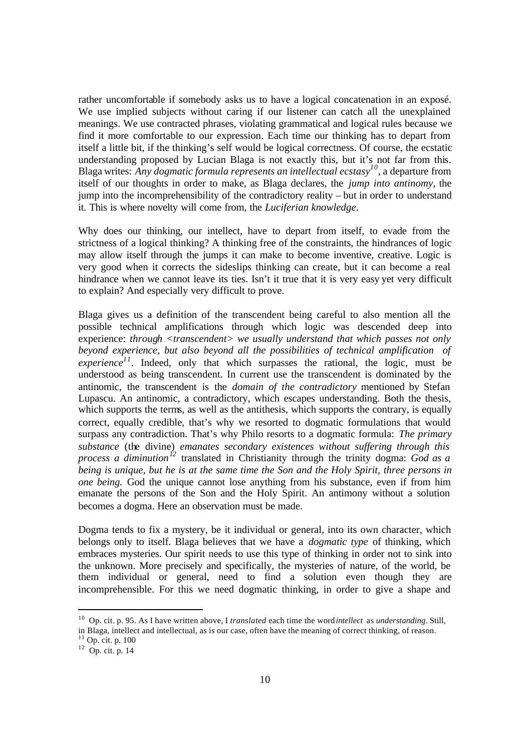rather uncomfortable if somebody asks us to have a logical concatenation in an exposé. We use implied subjects without caring if our listener can catch all the unexplained meanings. We use contracted phrases, violating grammatical and logical rules because we find it more comfortable to our expression. Each time our thinking has to depart from itself a little bit, if the thinking's self would be logical correctness. Of course, the ecstatic understanding proposed by Lucian Blaga is not exactly this, but it's not far from this. Blaga writes: *Any dogmatic formula represents an intellectual ecstasy<sup>10</sup>, a departure from* itself of our thoughts in order to make, as Blaga declares, the *jump into antinomy*, the jump into the incomprehensibility of the contradictory reality – but in order to understand it. This is where novelty will come from, the *Luciferian knowledge*.

Why does our thinking, our intellect, have to depart from itself, to evade from the strictness of a logical thinking? A thinking free of the constraints, the hindrances of logic may allow itself through the jumps it can make to become inventive, creative. Logic is very good when it corrects the sideslips thinking can create, but it can become a real hindrance when we cannot leave its ties. Isn't it true that it is very easy yet very difficult to explain? And especially very difficult to prove.

Blaga gives us a definition of the transcendent being careful to also mention all the possible technical amplifications through which logic was descended deep into experience: *through <transcendent> we usually understand that which passes not only beyond experience, but also beyond all the possibilities of technical amplification of experience*<sup> $11$ </sup>. Indeed, only that which surpasses the rational, the logic, must be understood as being transcendent. In current use the transcendent is dominated by the antinomic, the transcendent is the *domain of the contradictory* mentioned by Stefan Lupascu. An antinomic, a contradictory, which escapes understanding. Both the thesis, which supports the terms, as well as the antithesis, which supports the contrary, is equally correct, equally credible, that's why we resorted to dogmatic formulations that would surpass any contradiction. That's why Philo resorts to a dogmatic formula: *The primary substance* (the divine) *emanates secondary existences without suffering through this process a diminution<sup>12</sup>* translated in Christianity through the trinity dogma: *God as a being is unique, but he is at the same time the Son and the Holy Spirit, three persons in one being.* God the unique cannot lose anything from his substance, even if from him emanate the persons of the Son and the Holy Spirit. An antimony without a solution becomes a dogma. Here an observation must be made.

Dogma tends to fix a mystery, be it individual or general, into its own character, which belongs only to itself. Blaga believes that we have a *dogmatic type* of thinking, which embraces mysteries. Our spirit needs to use this type of thinking in order not to sink into the unknown. More precisely and specifically, the mysteries of nature, of the world, be them individual or general, need to find a solution even though they are incomprehensible. For this we need dogmatic thinking, in order to give a shape and

<sup>10</sup> Op. cit. p. 95. As I have written above, I *translated* each time the word *intellect* as *understanding*. Still, in Blaga, intellect and intellectual, as is our case, often have the meaning of correct thinking, of reason.

 $11$  Op. cit. p. 100

 $12$  Op. cit. p. 14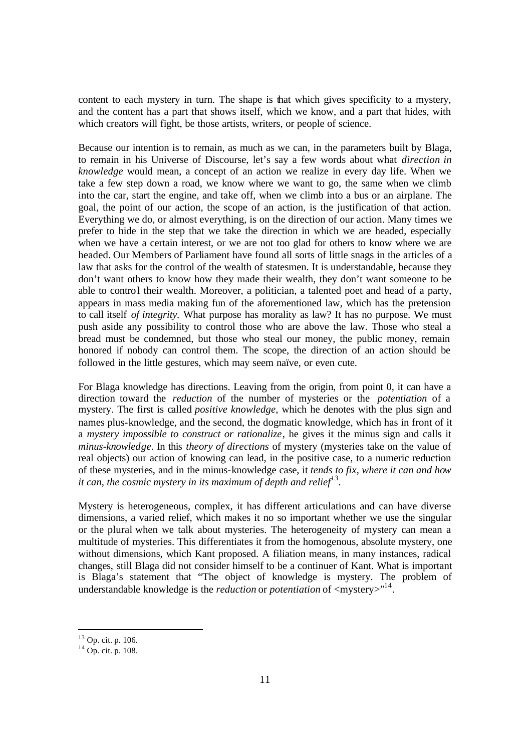content to each mystery in turn. The shape is that which gives specificity to a mystery, and the content has a part that shows itself, which we know, and a part that hides, with which creators will fight, be those artists, writers, or people of science.

Because our intention is to remain, as much as we can, in the parameters built by Blaga, to remain in his Universe of Discourse, let's say a few words about what *direction in knowledge* would mean, a concept of an action we realize in every day life. When we take a few step down a road, we know where we want to go, the same when we climb into the car, start the engine, and take off, when we climb into a bus or an airplane. The goal, the point of our action, the scope of an action, is the justification of that action. Everything we do, or almost everything, is on the direction of our action. Many times we prefer to hide in the step that we take the direction in which we are headed, especially when we have a certain interest, or we are not too glad for others to know where we are headed. Our Members of Parliament have found all sorts of little snags in the articles of a law that asks for the control of the wealth of statesmen. It is understandable, because they don't want others to know how they made their wealth, they don't want someone to be able to control their wealth. Moreover, a politician, a talented poet and head of a party, appears in mass media making fun of the aforementioned law, which has the pretension to call itself *of integrity.* What purpose has morality as law? It has no purpose. We must push aside any possibility to control those who are above the law. Those who steal a bread must be condemned, but those who steal our money, the public money, remain honored if nobody can control them. The scope, the direction of an action should be followed in the little gestures, which may seem naïve, or even cute.

For Blaga knowledge has directions. Leaving from the origin, from point 0, it can have a direction toward the *reduction* of the number of mysteries or the *potentiation* of a mystery. The first is called *positive knowledge*, which he denotes with the plus sign and names plus-knowledge, and the second, the dogmatic knowledge, which has in front of it a *mystery impossible to construct or rationalize*, he gives it the minus sign and calls it *minus-knowledge*. In this *theory of directions* of mystery (mysteries take on the value of real objects) our action of knowing can lead, in the positive case, to a numeric reduction of these mysteries, and in the minus-knowledge case, it *tends to fix, where it can and how it can, the cosmic mystery in its maximum of depth and relief<sup>13</sup> .* 

Mystery is heterogeneous, complex, it has different articulations and can have diverse dimensions, a varied relief, which makes it no so important whether we use the singular or the plural when we talk about mysteries. The heterogeneity of mystery can mean a multitude of mysteries. This differentiates it from the homogenous, absolute mystery, one without dimensions, which Kant proposed. A filiation means, in many instances, radical changes, still Blaga did not consider himself to be a continuer of Kant. What is important is Blaga's statement that "The object of knowledge is mystery. The problem of understandable knowledge is the *reduction* or *potentiation* of <mystery>"<sup>14</sup>.

<sup>13</sup> Op. cit. p. 106.

 $14$  Op. cit. p. 108.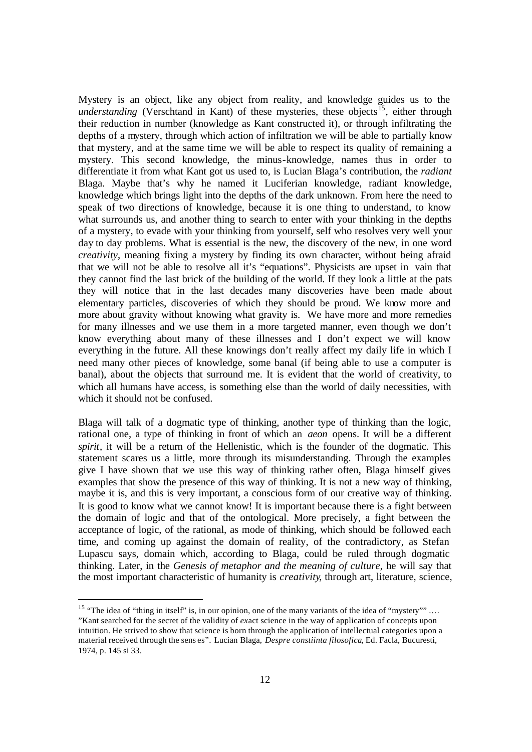Mystery is an object, like any object from reality, and knowledge guides us to the *understanding* (Verschtand in Kant) of these mysteries, these objects<sup>15</sup>, either through their reduction in number (knowledge as Kant constructed it), or through infiltrating the depths of a mystery, through which action of infiltration we will be able to partially know that mystery, and at the same time we will be able to respect its quality of remaining a mystery. This second knowledge, the minus-knowledge, names thus in order to differentiate it from what Kant got us used to, is Lucian Blaga's contribution, the *radiant* Blaga. Maybe that's why he named it Luciferian knowledge, radiant knowledge, knowledge which brings light into the depths of the dark unknown. From here the need to speak of two directions of knowledge, because it is one thing to understand, to know what surrounds us, and another thing to search to enter with your thinking in the depths of a mystery, to evade with your thinking from yourself, self who resolves very well your day to day problems. What is essential is the new, the discovery of the new, in one word *creativity*, meaning fixing a mystery by finding its own character, without being afraid that we will not be able to resolve all it's "equations". Physicists are upset in vain that they cannot find the last brick of the building of the world. If they look a little at the pats they will notice that in the last decades many discoveries have been made about elementary particles, discoveries of which they should be proud. We know more and more about gravity without knowing what gravity is. We have more and more remedies for many illnesses and we use them in a more targeted manner, even though we don't know everything about many of these illnesses and I don't expect we will know everything in the future. All these knowings don't really affect my daily life in which I need many other pieces of knowledge, some banal (if being able to use a computer is banal), about the objects that surround me. It is evident that the world of creativity, to which all humans have access, is something else than the world of daily necessities, with which it should not be confused.

Blaga will talk of a dogmatic type of thinking, another type of thinking than the logic, rational one, a type of thinking in front of which an *aeon* opens. It will be a different *spirit*, it will be a return of the Hellenistic, which is the founder of the dogmatic. This statement scares us a little, more through its misunderstanding. Through the examples give I have shown that we use this way of thinking rather often, Blaga himself gives examples that show the presence of this way of thinking. It is not a new way of thinking, maybe it is, and this is very important, a conscious form of our creative way of thinking. It is good to know what we cannot know! It is important because there is a fight between the domain of logic and that of the ontological. More precisely, a fight between the acceptance of logic, of the rational, as mode of thinking, which should be followed each time, and coming up against the domain of reality, of the contradictory, as Stefan Lupascu says, domain which, according to Blaga, could be ruled through dogmatic thinking. Later, in the *Genesis of metaphor and the meaning of culture*, he will say that the most important characteristic of humanity is *creativity*, through art, literature, science,

<sup>&</sup>lt;sup>15</sup> "The idea of "thing in itself" is, in our opinion, one of the many variants of the idea of "mystery"" .... "Kant searched for the secret of the validity of *ex*act science in the way of application of concepts upon intuition. He strived to show that science is born through the application of intellectual categories upon a material received through the sens es". Lucian Blaga, *Despre constiinta filosofica*, Ed. Facla, Bucuresti, 1974, p. 145 si 33.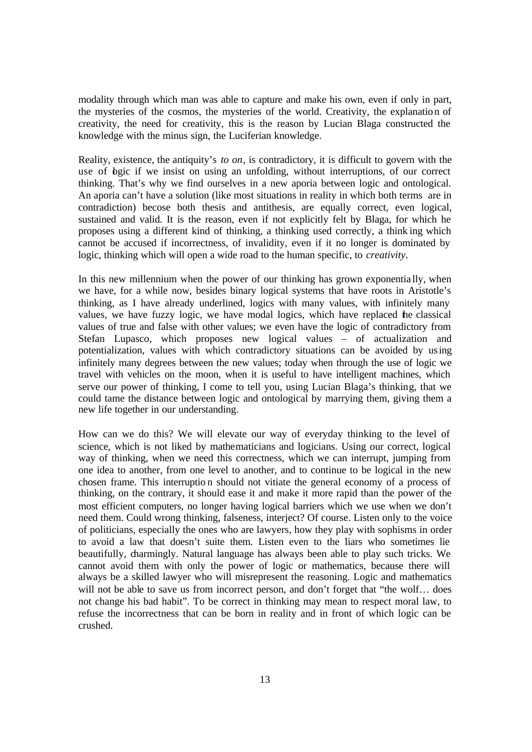modality through which man was able to capture and make his own, even if only in part, the mysteries of the cosmos, the mysteries of the world. Creativity, the explanation of creativity, the need for creativity, this is the reason by Lucian Blaga constructed the knowledge with the minus sign, the Luciferian knowledge.

Reality, existence, the antiquity's *to on*, is contradictory, it is difficult to govern with the use of bgic if we insist on using an unfolding, without interruptions, of our correct thinking. That's why we find ourselves in a new aporia between logic and ontological. An aporia can't have a solution (like most situations in reality in which both terms are in contradiction) becose both thesis and antithesis, are equally correct, even logical, sustained and valid. It is the reason, even if not explicitly felt by Blaga, for which he proposes using a different kind of thinking, a thinking used correctly, a think ing which cannot be accused if incorrectness, of invalidity, even if it no longer is dominated by logic, thinking which will open a wide road to the human specific, to *creativity*.

In this new millennium when the power of our thinking has grown exponentially, when we have, for a while now, besides binary logical systems that have roots in Aristotle's thinking, as I have already underlined, logics with many values, with infinitely many values, we have fuzzy logic, we have modal logics, which have replaced the classical values of true and false with other values; we even have the logic of contradictory from Stefan Lupasco, which proposes new logical values – of actualization and potentialization, values with which contradictory situations can be avoided by using infinitely many degrees between the new values; today when through the use of logic we travel with vehicles on the moon, when it is useful to have intelligent machines, which serve our power of thinking, I come to tell you, using Lucian Blaga's thinking, that we could tame the distance between logic and ontological by marrying them, giving them a new life together in our understanding.

How can we do this? We will elevate our way of everyday thinking to the level of science, which is not liked by mathematicians and logicians. Using our correct, logical way of thinking, when we need this correctness, which we can interrupt, jumping from one idea to another, from one level to another, and to continue to be logical in the new chosen frame. This interruptio n should not vitiate the general economy of a process of thinking, on the contrary, it should ease it and make it more rapid than the power of the most efficient computers, no longer having logical barriers which we use when we don't need them. Could wrong thinking, falseness, interject? Of course. Listen only to the voice of politicians, especially the ones who are lawyers, how they play with sophisms in order to avoid a law that doesn't suite them. Listen even to the liars who sometimes lie beautifully, charmingly. Natural language has always been able to play such tricks. We cannot avoid them with only the power of logic or mathematics, because there will always be a skilled lawyer who will misrepresent the reasoning. Logic and mathematics will not be able to save us from incorrect person, and don't forget that "the wolf... does not change his bad habit". To be correct in thinking may mean to respect moral law, to refuse the incorrectness that can be born in reality and in front of which logic can be crushed.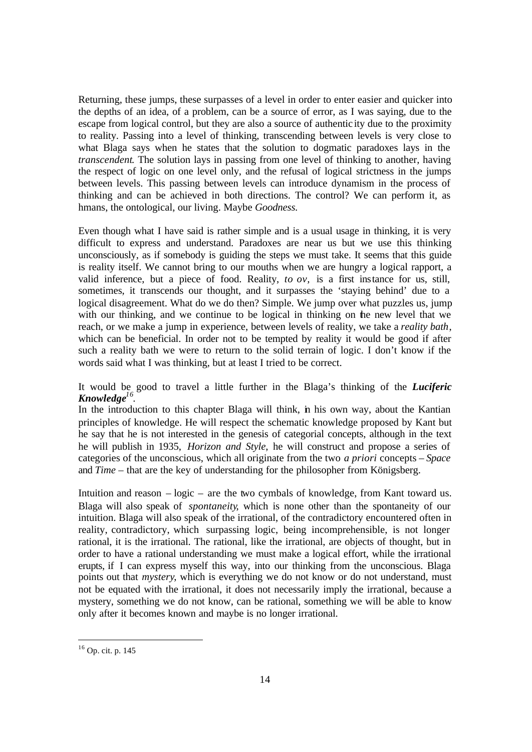Returning, these jumps, these surpasses of a level in order to enter easier and quicker into the depths of an idea, of a problem, can be a source of error, as I was saying, due to the escape from logical control, but they are also a source of authentic ity due to the proximity to reality. Passing into a level of thinking, transcending between levels is very close to what Blaga says when he states that the solution to dogmatic paradoxes lays in the *transcendent*. The solution lays in passing from one level of thinking to another, having the respect of logic on one level only, and the refusal of logical strictness in the jumps between levels. This passing between levels can introduce dynamism in the process of thinking and can be achieved in both directions. The control? We can perform it, as hmans, the ontological, our living. Maybe *Goodness.* 

Even though what I have said is rather simple and is a usual usage in thinking, it is very difficult to express and understand. Paradoxes are near us but we use this thinking unconsciously, as if somebody is guiding the steps we must take. It seems that this guide is reality itself. We cannot bring to our mouths when we are hungry a logical rapport, a valid inference, but a piece of food. Reality, *to ov,* is a first instance for us, still, sometimes, it transcends our thought, and it surpasses the 'staying behind' due to a logical disagreement. What do we do then? Simple. We jump over what puzzles us, jump with our thinking, and we continue to be logical in thinking on the new level that we reach, or we make a jump in experience, between levels of reality, we take a *reality bath*, which can be beneficial. In order not to be tempted by reality it would be good if after such a reality bath we were to return to the solid terrain of logic. I don't know if the words said what I was thinking, but at least I tried to be correct.

It would be good to travel a little further in the Blaga's thinking of the *Luciferic Knowledge<sup>16</sup> .*

In the introduction to this chapter Blaga will think, in his own way, about the Kantian principles of knowledge. He will respect the schematic knowledge proposed by Kant but he say that he is not interested in the genesis of categorial concepts, although in the text he will publish in 1935, *Horizon and Style*, he will construct and propose a series of categories of the unconscious, which all originate from the two *a priori* concepts – *Space* and *Time* – that are the key of understanding for the philosopher from Königsberg.

Intuition and reason – logic – are the two cymbals of knowledge, from Kant toward us. Blaga will also speak of *spontaneity*, which is none other than the spontaneity of our intuition. Blaga will also speak of the irrational, of the contradictory encountered often in reality, contradictory, which surpassing logic, being incomprehensible, is not longer rational, it is the irrational. The rational, like the irrational, are objects of thought, but in order to have a rational understanding we must make a logical effort, while the irrational erupts, if I can express myself this way, into our thinking from the unconscious. Blaga points out that *mystery*, which is everything we do not know or do not understand, must not be equated with the irrational, it does not necessarily imply the irrational, because a mystery, something we do not know, can be rational, something we will be able to know only after it becomes known and maybe is no longer irrational.

l

<sup>16</sup> Op. cit. p. 145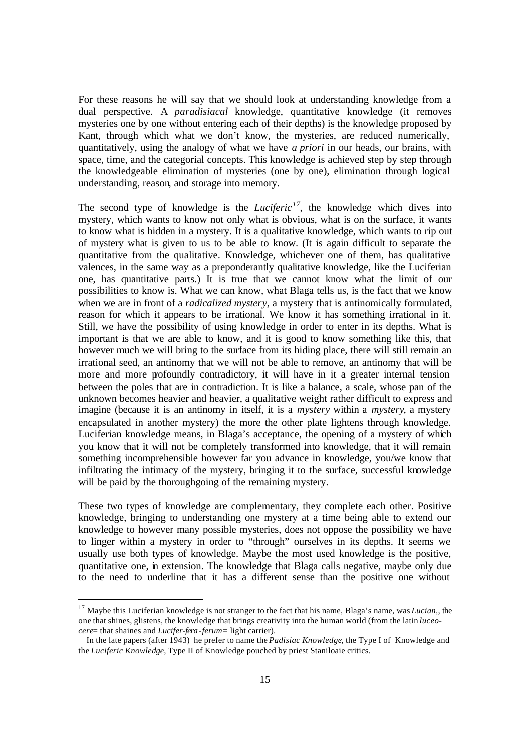For these reasons he will say that we should look at understanding knowledge from a dual perspective. A *paradisiacal* knowledge, quantitative knowledge (it removes mysteries one by one without entering each of their depths) is the knowledge proposed by Kant, through which what we don't know, the mysteries, are reduced numerically, quantitatively, using the analogy of what we have *a priori* in our heads, our brains, with space, time, and the categorial concepts. This knowledge is achieved step by step through the knowledgeable elimination of mysteries (one by one), elimination through logical understanding, reason, and storage into memory.

The second type of knowledge is the *Luciferic*<sup>17</sup>, the knowledge which dives into mystery, which wants to know not only what is obvious, what is on the surface, it wants to know what is hidden in a mystery. It is a qualitative knowledge, which wants to rip out of mystery what is given to us to be able to know. (It is again difficult to separate the quantitative from the qualitative. Knowledge, whichever one of them, has qualitative valences, in the same way as a preponderantly qualitative knowledge, like the Luciferian one, has quantitative parts.) It is true that we cannot know what the limit of our possibilities to know is. What we can know, what Blaga tells us, is the fact that we know when we are in front of a *radicalized mystery*, a mystery that is antinomically formulated, reason for which it appears to be irrational. We know it has something irrational in it. Still, we have the possibility of using knowledge in order to enter in its depths. What is important is that we are able to know, and it is good to know something like this, that however much we will bring to the surface from its hiding place, there will still remain an irrational seed, an antinomy that we will not be able to remove, an antinomy that will be more and more profoundly contradictory, it will have in it a greater internal tension between the poles that are in contradiction. It is like a balance, a scale, whose pan of the unknown becomes heavier and heavier, a qualitative weight rather difficult to express and imagine (because it is an antinomy in itself, it is a *mystery* within a *mystery*, a mystery encapsulated in another mystery) the more the other plate lightens through knowledge. Luciferian knowledge means, in Blaga's acceptance, the opening of a mystery of which you know that it will not be completely transformed into knowledge, that it will remain something incomprehensible however far you advance in knowledge, you/we know that infiltrating the intimacy of the mystery, bringing it to the surface, successful knowledge will be paid by the thoroughgoing of the remaining mystery.

These two types of knowledge are complementary, they complete each other. Positive knowledge, bringing to understanding one mystery at a time being able to extend our knowledge to however many possible mysteries, does not oppose the possibility we have to linger within a mystery in order to "through" ourselves in its depths. It seems we usually use both types of knowledge. Maybe the most used knowledge is the positive, quantitative one, in extension. The knowledge that Blaga calls negative, maybe only due to the need to underline that it has a different sense than the positive one without

<sup>17</sup> Maybe this Luciferian knowledge is not stranger to the fact that his name, Blaga's name, was *Lucian,,* the one that shines, glistens, the knowledge that brings creativity into the human world (from the latin *luceocere*= that shaines and *Lucifer-fera-ferum=* light carrier).

In the late papers (after 1943) he prefer to name the *Padisiac Knowledge*, the Type I of Knowledge and the *Luciferic Knowledge,* Type II of Knowledge pouched by priest Staniloaie critics.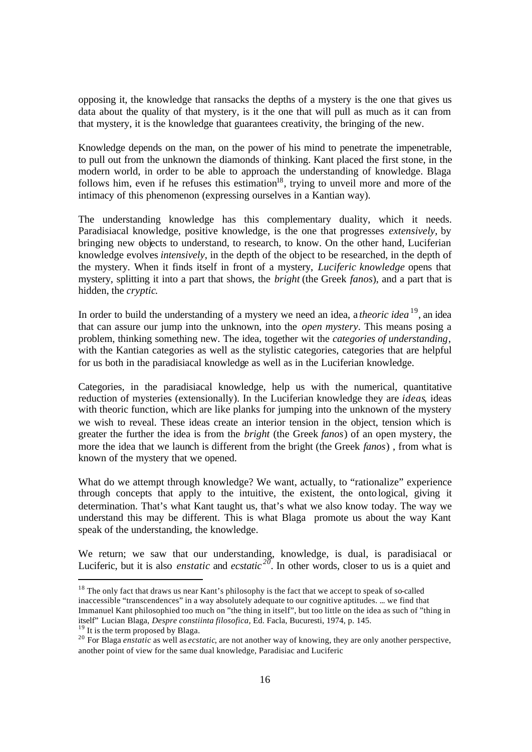opposing it, the knowledge that ransacks the depths of a mystery is the one that gives us data about the quality of that mystery, is it the one that will pull as much as it can from that mystery, it is the knowledge that guarantees creativity, the bringing of the new.

Knowledge depends on the man, on the power of his mind to penetrate the impenetrable, to pull out from the unknown the diamonds of thinking. Kant placed the first stone, in the modern world, in order to be able to approach the understanding of knowledge. Blaga follows him, even if he refuses this estimation $18$ , trying to unveil more and more of the intimacy of this phenomenon (expressing ourselves in a Kantian way).

The understanding knowledge has this complementary duality, which it needs. Paradisiacal knowledge, positive knowledge, is the one that progresses *extensively*, by bringing new objects to understand, to research, to know. On the other hand, Luciferian knowledge evolves *intensively*, in the depth of the object to be researched, in the depth of the mystery. When it finds itself in front of a mystery, *Luciferic knowledge* opens that mystery, splitting it into a part that shows, the *bright* (the Greek *fanos*), and a part that is hidden, the *cryptic*.

In order to build the understanding of a mystery we need an idea, a *theoric idea* <sup>19</sup>, an idea that can assure our jump into the unknown, into the *open mystery*. This means posing a problem, thinking something new. The idea, together wit the *categories of understanding*, with the Kantian categories as well as the stylistic categories, categories that are helpful for us both in the paradisiacal knowledge as well as in the Luciferian knowledge.

Categories, in the paradisiacal knowledge, help us with the numerical, quantitative reduction of mysteries (extensionally). In the Luciferian knowledge they are *ideas*, ideas with theoric function, which are like planks for jumping into the unknown of the mystery we wish to reveal. These ideas create an interior tension in the object, tension which is greater the further the idea is from the *bright* (the Greek *fanos*) of an open mystery, the more the idea that we launch is different from the bright (the Greek *fanos*) , from what is known of the mystery that we opened.

What do we attempt through knowledge? We want, actually, to "rationalize" experience through concepts that apply to the intuitive, the existent, the onto logical, giving it determination. That's what Kant taught us, that's what we also know today. The way we understand this may be different. This is what Blaga promote us about the way Kant speak of the understanding, the knowledge.

We return; we saw that our understanding, knowledge, is dual, is paradisiacal or Luciferic, but it is also *enstatic* and *ecstatic*  $2^{20}$ . In other words, closer to us is a quiet and

<sup>19</sup> It is the term proposed by Blaga.

<sup>&</sup>lt;sup>18</sup> The only fact that draws us near Kant's philosophy is the fact that we accept to speak of so-called inaccessible "transcendences" in a way absolutely adequate to our cognitive aptitudes. ... we find that Immanuel Kant philosophied too much on "the thing in itself", but too little on the idea as such of "thing in itself" Lucian Blaga, *Despre constiinta filosofica,* Ed. Facla, Bucuresti, 1974, p. 145.

<sup>&</sup>lt;sup>20</sup> For Blaga *enstatic* as well as *ecstatic*, are not another way of knowing, they are only another perspective, another point of view for the same dual knowledge, Paradisiac and Luciferic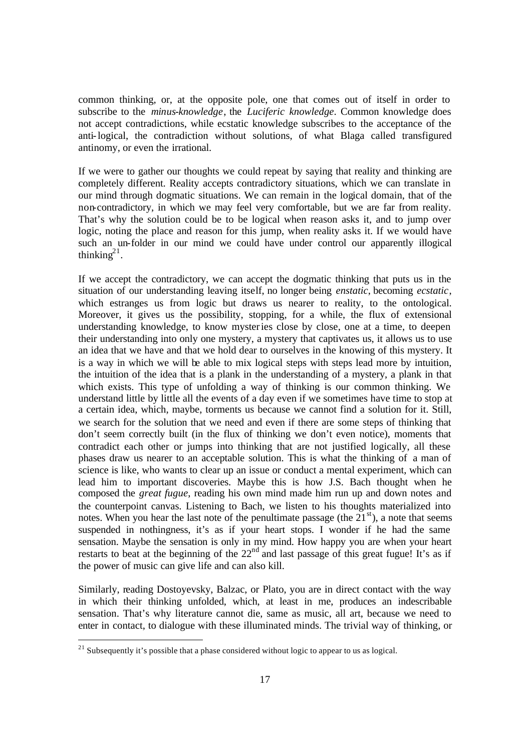common thinking, or, at the opposite pole, one that comes out of itself in order to subscribe to the *minus-knowledge*, the *Luciferic knowledge*. Common knowledge does not accept contradictions, while ecstatic knowledge subscribes to the acceptance of the anti-logical, the contradiction without solutions, of what Blaga called transfigured antinomy, or even the irrational.

If we were to gather our thoughts we could repeat by saying that reality and thinking are completely different. Reality accepts contradictory situations, which we can translate in our mind through dogmatic situations. We can remain in the logical domain, that of the non-contradictory, in which we may feel very comfortable, but we are far from reality. That's why the solution could be to be logical when reason asks it, and to jump over logic, noting the place and reason for this jump, when reality asks it. If we would have such an un-folder in our mind we could have under control our apparently illogical thinking $2<sup>1</sup>$ .

If we accept the contradictory, we can accept the dogmatic thinking that puts us in the situation of our understanding leaving itself, no longer being *enstatic*, becoming *ecstatic*, which estranges us from logic but draws us nearer to reality, to the ontological. Moreover, it gives us the possibility, stopping, for a while, the flux of extensional understanding knowledge, to know mysteries close by close, one at a time, to deepen their understanding into only one mystery, a mystery that captivates us, it allows us to use an idea that we have and that we hold dear to ourselves in the knowing of this mystery. It is a way in which we will be able to mix logical steps with steps lead more by intuition, the intuition of the idea that is a plank in the understanding of a mystery, a plank in that which exists. This type of unfolding a way of thinking is our common thinking. We understand little by little all the events of a day even if we sometimes have time to stop at a certain idea, which, maybe, torments us because we cannot find a solution for it. Still, we search for the solution that we need and even if there are some steps of thinking that don't seem correctly built (in the flux of thinking we don't even notice), moments that contradict each other or jumps into thinking that are not justified logically, all these phases draw us nearer to an acceptable solution. This is what the thinking of a man of science is like, who wants to clear up an issue or conduct a mental experiment, which can lead him to important discoveries. Maybe this is how J.S. Bach thought when he composed the *great fugue*, reading his own mind made him run up and down notes and the counterpoint canvas. Listening to Bach, we listen to his thoughts materialized into notes. When you hear the last note of the penultimate passage (the  $21<sup>st</sup>$ ), a note that seems suspended in nothingness, it's as if your heart stops. I wonder if he had the same sensation. Maybe the sensation is only in my mind. How happy you are when your heart restarts to beat at the beginning of the  $22<sup>nd</sup>$  and last passage of this great fugue! It's as if the power of music can give life and can also kill.

Similarly, reading Dostoyevsky, Balzac, or Plato, you are in direct contact with the way in which their thinking unfolded, which, at least in me, produces an indescribable sensation. That's why literature cannot die, same as music, all art, because we need to enter in contact, to dialogue with these illuminated minds. The trivial way of thinking, or

l

 $21$  Subsequently it's possible that a phase considered without logic to appear to us as logical.